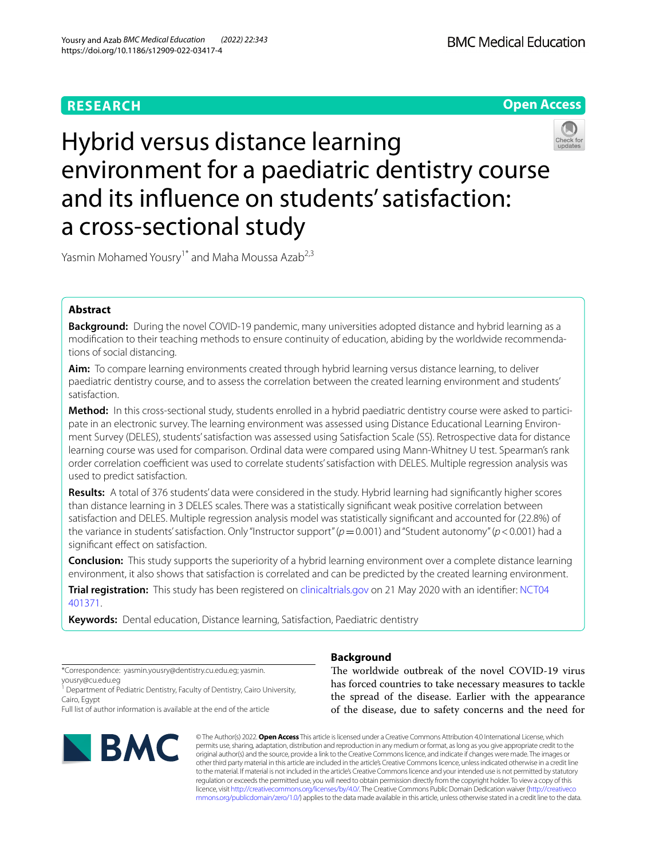# **RESEARCH**



# Hybrid versus distance learning environment for a paediatric dentistry course and its infuence on students' satisfaction: a cross-sectional study

Yasmin Mohamed Yousry<sup>1\*</sup> and Maha Moussa Azab<sup>2,3</sup>

# **Abstract**

**Background:** During the novel COVID-19 pandemic, many universities adopted distance and hybrid learning as a modifcation to their teaching methods to ensure continuity of education, abiding by the worldwide recommendations of social distancing.

**Aim:** To compare learning environments created through hybrid learning versus distance learning, to deliver paediatric dentistry course, and to assess the correlation between the created learning environment and students' satisfaction.

**Method:** In this cross-sectional study, students enrolled in a hybrid paediatric dentistry course were asked to participate in an electronic survey. The learning environment was assessed using Distance Educational Learning Environment Survey (DELES), students' satisfaction was assessed using Satisfaction Scale (SS). Retrospective data for distance learning course was used for comparison. Ordinal data were compared using Mann-Whitney U test. Spearman's rank order correlation coefficient was used to correlate students' satisfaction with DELES. Multiple regression analysis was used to predict satisfaction.

**Results:** A total of 376 students' data were considered in the study. Hybrid learning had signifcantly higher scores than distance learning in 3 DELES scales. There was a statistically signifcant weak positive correlation between satisfaction and DELES. Multiple regression analysis model was statistically signifcant and accounted for (22.8%) of the variance in students' satisfaction. Only "Instructor support" (*p*=0.001) and "Student autonomy" (*p*<0.001) had a signifcant efect on satisfaction.

**Conclusion:** This study supports the superiority of a hybrid learning environment over a complete distance learning environment, it also shows that satisfaction is correlated and can be predicted by the created learning environment.

**Trial registration:** This study has been registered on [clinicaltrials.gov](http://clinicaltrials.gov) on 21 May 2020 with an identifer: [NCT04](https://www.clinicaltrials.gov/ct2/show/NCT04401371?cond=hybrid+learning&draw=2&rank=1) [401371](https://www.clinicaltrials.gov/ct2/show/NCT04401371?cond=hybrid+learning&draw=2&rank=1).

**Keywords:** Dental education, Distance learning, Satisfaction, Paediatric dentistry

\*Correspondence: yasmin.yousry@dentistry.cu.edu.eg; yasmin. yousry@cu.edu.eg

<sup>1</sup> Department of Pediatric Dentistry, Faculty of Dentistry, Cairo University, Cairo, Egypt

Full list of author information is available at the end of the article



# **Background**

The worldwide outbreak of the novel COVID-19 virus has forced countries to take necessary measures to tackle the spread of the disease. Earlier with the appearance of the disease, due to safety concerns and the need for

© The Author(s) 2022. **Open Access** This article is licensed under a Creative Commons Attribution 4.0 International License, which permits use, sharing, adaptation, distribution and reproduction in any medium or format, as long as you give appropriate credit to the original author(s) and the source, provide a link to the Creative Commons licence, and indicate if changes were made. The images or other third party material in this article are included in the article's Creative Commons licence, unless indicated otherwise in a credit line to the material. If material is not included in the article's Creative Commons licence and your intended use is not permitted by statutory regulation or exceeds the permitted use, you will need to obtain permission directly from the copyright holder. To view a copy of this licence, visit [http://creativecommons.org/licenses/by/4.0/.](http://creativecommons.org/licenses/by/4.0/) The Creative Commons Public Domain Dedication waiver ([http://creativeco](http://creativecommons.org/publicdomain/zero/1.0/) [mmons.org/publicdomain/zero/1.0/](http://creativecommons.org/publicdomain/zero/1.0/)) applies to the data made available in this article, unless otherwise stated in a credit line to the data.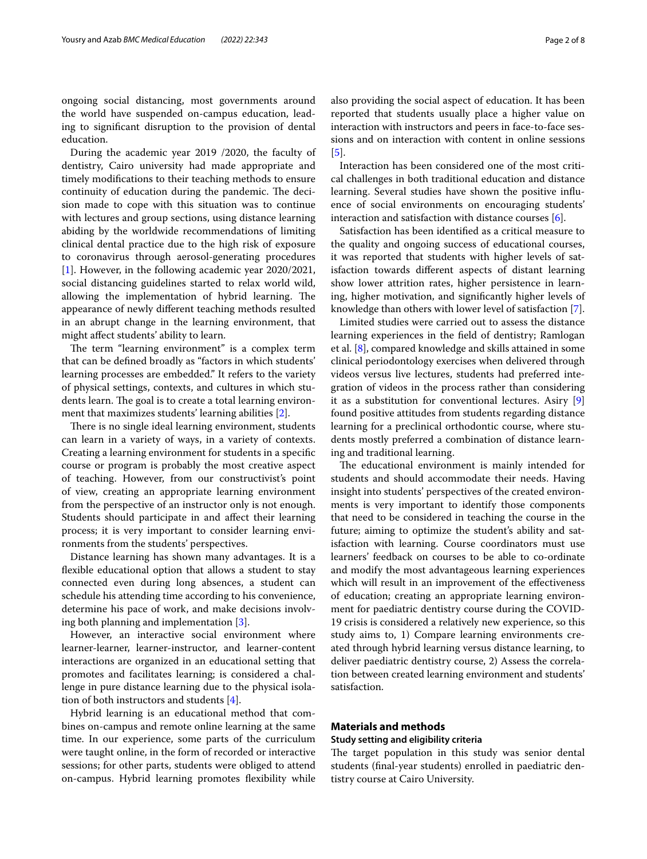ongoing social distancing, most governments around the world have suspended on-campus education, leading to signifcant disruption to the provision of dental education.

During the academic year 2019 /2020, the faculty of dentistry, Cairo university had made appropriate and timely modifcations to their teaching methods to ensure continuity of education during the pandemic. The decision made to cope with this situation was to continue with lectures and group sections, using distance learning abiding by the worldwide recommendations of limiting clinical dental practice due to the high risk of exposure to coronavirus through aerosol-generating procedures [[1\]](#page-6-0). However, in the following academic year 2020/2021, social distancing guidelines started to relax world wild, allowing the implementation of hybrid learning. The appearance of newly diferent teaching methods resulted in an abrupt change in the learning environment, that might afect students' ability to learn.

The term "learning environment" is a complex term that can be defned broadly as "factors in which students' learning processes are embedded." It refers to the variety of physical settings, contexts, and cultures in which students learn. The goal is to create a total learning environment that maximizes students' learning abilities [[2\]](#page-6-1).

There is no single ideal learning environment, students can learn in a variety of ways, in a variety of contexts. Creating a learning environment for students in a specifc course or program is probably the most creative aspect of teaching. However, from our constructivist's point of view, creating an appropriate learning environment from the perspective of an instructor only is not enough. Students should participate in and afect their learning process; it is very important to consider learning environments from the students' perspectives.

Distance learning has shown many advantages. It is a fexible educational option that allows a student to stay connected even during long absences, a student can schedule his attending time according to his convenience, determine his pace of work, and make decisions involving both planning and implementation [[3\]](#page-6-2).

However, an interactive social environment where learner-learner, learner-instructor, and learner-content interactions are organized in an educational setting that promotes and facilitates learning; is considered a challenge in pure distance learning due to the physical isolation of both instructors and students  $[4]$  $[4]$ .

Hybrid learning is an educational method that combines on-campus and remote online learning at the same time. In our experience, some parts of the curriculum were taught online, in the form of recorded or interactive sessions; for other parts, students were obliged to attend on-campus. Hybrid learning promotes fexibility while also providing the social aspect of education. It has been reported that students usually place a higher value on interaction with instructors and peers in face-to-face sessions and on interaction with content in online sessions [[5\]](#page-6-4).

Interaction has been considered one of the most critical challenges in both traditional education and distance learning. Several studies have shown the positive infuence of social environments on encouraging students' interaction and satisfaction with distance courses [[6\]](#page-6-5).

Satisfaction has been identifed as a critical measure to the quality and ongoing success of educational courses, it was reported that students with higher levels of satisfaction towards diferent aspects of distant learning show lower attrition rates, higher persistence in learning, higher motivation, and signifcantly higher levels of knowledge than others with lower level of satisfaction [\[7](#page-6-6)].

Limited studies were carried out to assess the distance learning experiences in the feld of dentistry; Ramlogan et al. [\[8](#page-7-0)], compared knowledge and skills attained in some clinical periodontology exercises when delivered through videos versus live lectures, students had preferred integration of videos in the process rather than considering it as a substitution for conventional lectures. Asiry [\[9](#page-7-1)] found positive attitudes from students regarding distance learning for a preclinical orthodontic course, where students mostly preferred a combination of distance learning and traditional learning.

The educational environment is mainly intended for students and should accommodate their needs. Having insight into students' perspectives of the created environments is very important to identify those components that need to be considered in teaching the course in the future; aiming to optimize the student's ability and satisfaction with learning. Course coordinators must use learners' feedback on courses to be able to co-ordinate and modify the most advantageous learning experiences which will result in an improvement of the effectiveness of education; creating an appropriate learning environment for paediatric dentistry course during the COVID-19 crisis is considered a relatively new experience, so this study aims to, 1) Compare learning environments created through hybrid learning versus distance learning, to deliver paediatric dentistry course, 2) Assess the correlation between created learning environment and students' satisfaction.

# **Materials and methods**

# **Study setting and eligibility criteria**

The target population in this study was senior dental students (fnal-year students) enrolled in paediatric dentistry course at Cairo University.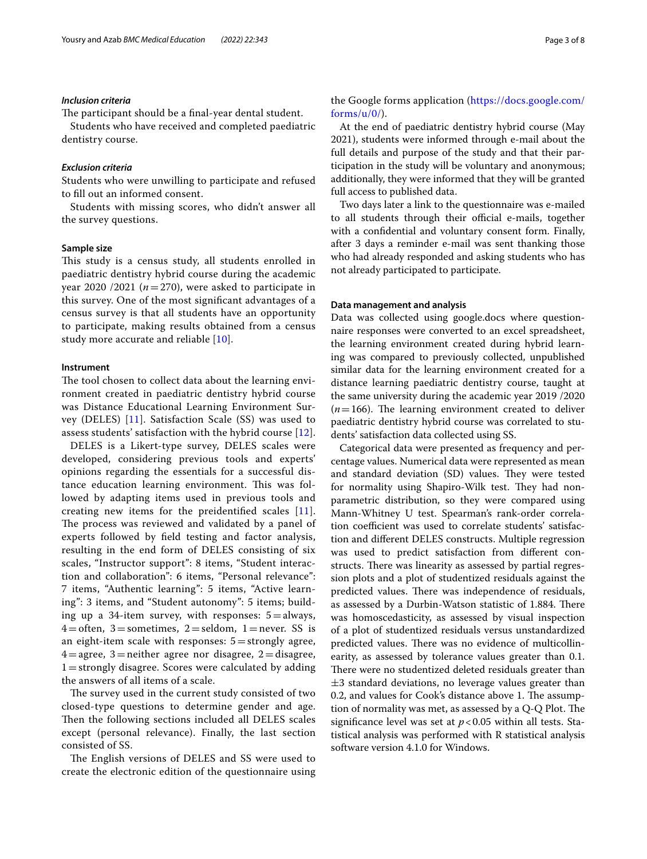# *Inclusion criteria*

The participant should be a final-year dental student.

Students who have received and completed paediatric dentistry course.

# *Exclusion criteria*

Students who were unwilling to participate and refused to fll out an informed consent.

Students with missing scores, who didn't answer all the survey questions.

# **Sample size**

This study is a census study, all students enrolled in paediatric dentistry hybrid course during the academic year 2020 /2021 ( $n=270$ ), were asked to participate in this survey. One of the most signifcant advantages of a census survey is that all students have an opportunity to participate, making results obtained from a census study more accurate and reliable [[10](#page-7-2)].

# **Instrument**

The tool chosen to collect data about the learning environment created in paediatric dentistry hybrid course was Distance Educational Learning Environment Survey (DELES) [[11\]](#page-7-3). Satisfaction Scale (SS) was used to assess students' satisfaction with the hybrid course [[12\]](#page-7-4).

DELES is a Likert-type survey, DELES scales were developed, considering previous tools and experts' opinions regarding the essentials for a successful distance education learning environment. This was followed by adapting items used in previous tools and creating new items for the preidentifed scales [[11](#page-7-3)]. The process was reviewed and validated by a panel of experts followed by feld testing and factor analysis, resulting in the end form of DELES consisting of six scales, "Instructor support": 8 items, "Student interaction and collaboration": 6 items, "Personal relevance": 7 items, "Authentic learning": 5 items, "Active learning": 3 items, and "Student autonomy": 5 items; building up a 34-item survey, with responses:  $5 =$ always,  $4=$ often, 3 = sometimes, 2 = seldom, 1 = never. SS is an eight-item scale with responses:  $5 =$ strongly agree,  $4=$ agree, 3 = neither agree nor disagree, 2 = disagree, 1=strongly disagree. Scores were calculated by adding the answers of all items of a scale.

The survey used in the current study consisted of two closed-type questions to determine gender and age. Then the following sections included all DELES scales except (personal relevance). Finally, the last section consisted of SS.

The English versions of DELES and SS were used to create the electronic edition of the questionnaire using the Google forms application [\(https://docs.google.com/](https://docs.google.com/forms/u/0/)  $forms/u/0/$ ).

At the end of paediatric dentistry hybrid course (May 2021), students were informed through e-mail about the full details and purpose of the study and that their participation in the study will be voluntary and anonymous; additionally, they were informed that they will be granted full access to published data.

Two days later a link to the questionnaire was e-mailed to all students through their official e-mails, together with a confdential and voluntary consent form. Finally, after 3 days a reminder e-mail was sent thanking those who had already responded and asking students who has not already participated to participate.

# **Data management and analysis**

Data was collected using google.docs where questionnaire responses were converted to an excel spreadsheet, the learning environment created during hybrid learning was compared to previously collected, unpublished similar data for the learning environment created for a distance learning paediatric dentistry course, taught at the same university during the academic year 2019 /2020  $(n=166)$ . The learning environment created to deliver paediatric dentistry hybrid course was correlated to students' satisfaction data collected using SS.

Categorical data were presented as frequency and percentage values. Numerical data were represented as mean and standard deviation (SD) values. They were tested for normality using Shapiro-Wilk test. They had nonparametric distribution, so they were compared using Mann-Whitney U test. Spearman's rank-order correlation coefficient was used to correlate students' satisfaction and diferent DELES constructs. Multiple regression was used to predict satisfaction from diferent constructs. There was linearity as assessed by partial regression plots and a plot of studentized residuals against the predicted values. There was independence of residuals, as assessed by a Durbin-Watson statistic of 1.884. There was homoscedasticity, as assessed by visual inspection of a plot of studentized residuals versus unstandardized predicted values. There was no evidence of multicollinearity, as assessed by tolerance values greater than 0.1. There were no studentized deleted residuals greater than  $\pm$ 3 standard deviations, no leverage values greater than 0.2, and values for Cook's distance above 1. The assumption of normality was met, as assessed by a  $Q-Q$  Plot. The signifcance level was set at *p*<0.05 within all tests. Statistical analysis was performed with R statistical analysis software version 4.1.0 for Windows.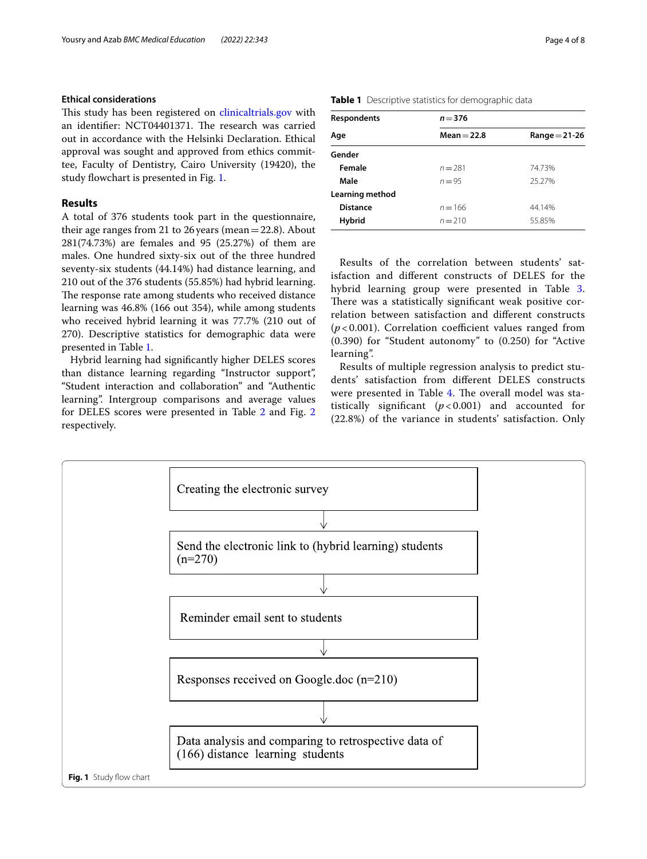# **Ethical considerations**

This study has been registered on [clinicaltrials.gov](http://clinicaltrials.gov) with an identifier: NCT04401371. The research was carried out in accordance with the Helsinki Declaration. Ethical approval was sought and approved from ethics committee, Faculty of Dentistry, Cairo University (19420), the study flowchart is presented in Fig. [1.](#page-3-0)

# **Results**

A total of 376 students took part in the questionnaire, their age ranges from 21 to 26 years (mean=22.8). About 281(74.73%) are females and 95 (25.27%) of them are males. One hundred sixty-six out of the three hundred seventy-six students (44.14%) had distance learning, and 210 out of the 376 students (55.85%) had hybrid learning. The response rate among students who received distance learning was 46.8% (166 out 354), while among students who received hybrid learning it was 77.7% (210 out of 270). Descriptive statistics for demographic data were presented in Table [1](#page-3-1).

Hybrid learning had signifcantly higher DELES scores than distance learning regarding "Instructor support", "Student interaction and collaboration" and "Authentic learning". Intergroup comparisons and average values for DELES scores were presented in Table [2](#page-4-0) and Fig. [2](#page-4-1) respectively.

| Page 4 of 8 |  |  |  |
|-------------|--|--|--|
|-------------|--|--|--|

| <b>Respondents</b> | $n = 376$     |                 |  |  |
|--------------------|---------------|-----------------|--|--|
| Age                | $Mean = 22.8$ | $Range = 21-26$ |  |  |
| Gender             |               |                 |  |  |
| Female             | $n = 281$     | 74.73%          |  |  |
| Male               | $n = 95$      | 25.27%          |  |  |
| Learning method    |               |                 |  |  |
| <b>Distance</b>    | $n = 166$     | 44.14%          |  |  |
| <b>Hybrid</b>      | $n = 210$     | 55.85%          |  |  |

<span id="page-3-1"></span>**Table 1** Descriptive statistics for demographic data

Results of the correlation between students' satisfaction and diferent constructs of DELES for the hybrid learning group were presented in Table [3](#page-4-2). There was a statistically significant weak positive correlation between satisfaction and diferent constructs  $(p<0.001)$ . Correlation coefficient values ranged from (0.390) for "Student autonomy" to (0.250) for "Active learning".

Results of multiple regression analysis to predict students' satisfaction from diferent DELES constructs were presented in Table [4.](#page-4-3) The overall model was statistically significant  $(p<0.001)$  and accounted for (22.8%) of the variance in students' satisfaction. Only

<span id="page-3-0"></span>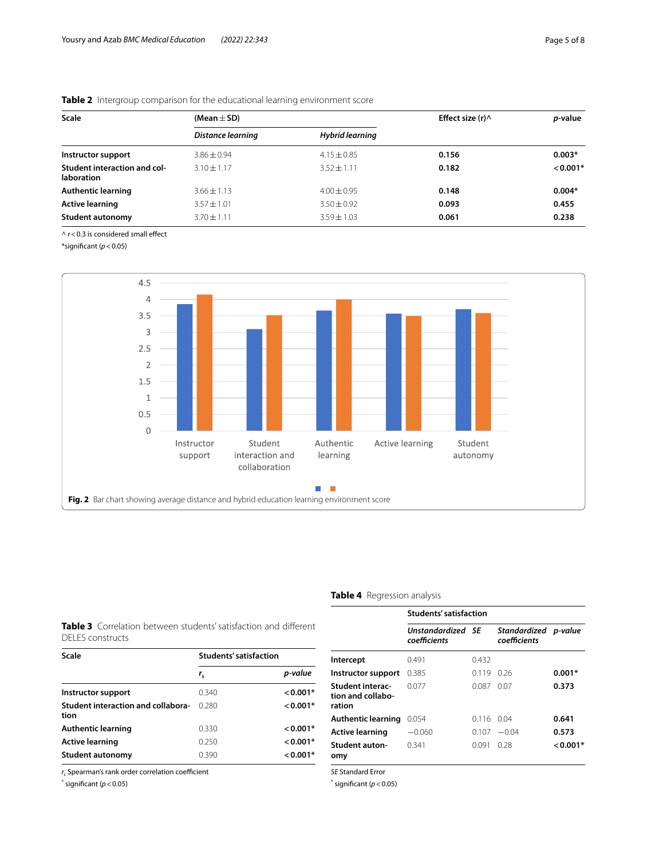| Scale                                             | (Mean $\pm$ SD)   |                 | Effect size $(r)$ $\wedge$ | <i>p</i> -value |  |
|---------------------------------------------------|-------------------|-----------------|----------------------------|-----------------|--|
|                                                   | Distance learning | Hybrid learning |                            |                 |  |
| Instructor support                                | $3.86 \pm 0.94$   | $4.15 \pm 0.85$ | 0.156                      | $0.003*$        |  |
| Student interaction and col-<br><b>laboration</b> | $3.10 \pm 1.17$   | $3.52 \pm 1.11$ | 0.182                      | $< 0.001*$      |  |
| <b>Authentic learning</b>                         | $3.66 \pm 1.13$   | $4.00 \pm 0.95$ | 0.148                      | $0.004*$        |  |
| <b>Active learning</b>                            | $3.57 \pm 1.01$   | $3.50 \pm 0.92$ | 0.093                      | 0.455           |  |
| <b>Student autonomy</b>                           | $3.70 \pm 1.11$   | $3.59 \pm 1.03$ | 0.061                      | 0.238           |  |

<span id="page-4-0"></span>**Table 2** Intergroup comparison for the educational learning environment score

^  $r$  < 0.3 is considered small effect

\*signifcant (*p*<0.05)



# <span id="page-4-3"></span>**Table 4** Regression analysis

<span id="page-4-2"></span><span id="page-4-1"></span>

|                  |  | <b>Table 3</b> Correlation between students' satisfaction and different |  |
|------------------|--|-------------------------------------------------------------------------|--|
| DELES constructs |  |                                                                         |  |

| Scale                                             | Students' satisfaction |            |
|---------------------------------------------------|------------------------|------------|
|                                                   | $r_{\rm c}$            | p-value    |
| Instructor support                                | 0.340                  | $< 0.001*$ |
| <b>Student interaction and collabora-</b><br>tion | 0.280                  | $< 0.001*$ |
| Authentic learning                                | 0.330                  | $< 0.001*$ |
| Active learning                                   | 0.250                  | $< 0.001*$ |
| Student autonomy                                  | 0.390                  | $< 0.001*$ |

 $r<sub>s</sub>$  Spearman's rank order correlation coefficient

\* signifcant (*p*<0.05)

|                                                        | Students' satisfaction            |            |                                      |          |
|--------------------------------------------------------|-----------------------------------|------------|--------------------------------------|----------|
|                                                        | Unstandardized SE<br>coefficients |            | Standardized p-value<br>coefficients |          |
| Intercept                                              | 0.491                             | 0.432      |                                      |          |
| Instructor support                                     | 0.385                             | 0.119      | 0.26                                 | $0.001*$ |
| <b>Student interac-</b><br>tion and collabo-<br>ration | 0077                              | 0.087      | 0.07                                 | 0.373    |
| <b>Authentic learning</b>                              | 0.054                             | 0.116 0.04 |                                      | 0.641    |
| <b>Active learning</b>                                 | $-0.060$                          | 0.107      | $-0.04$                              | 0.573    |
| <b>Student auton-</b><br>omy                           | 0.341                             | 0.091      | 0.28                                 | $0.001*$ |
| <b>SE Standard Error</b>                               |                                   |            |                                      |          |

 $*$  significant ( $p < 0.05$ )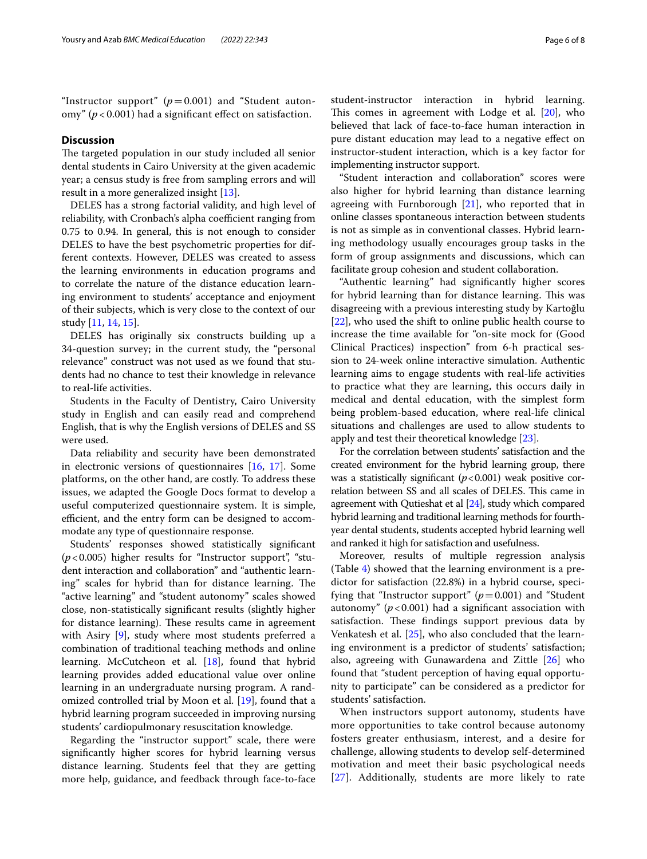"Instructor support"  $(p=0.001)$  and "Student autonomy" ( $p < 0.001$ ) had a significant effect on satisfaction.

# **Discussion**

The targeted population in our study included all senior dental students in Cairo University at the given academic year; a census study is free from sampling errors and will result in a more generalized insight [[13](#page-7-5)].

DELES has a strong factorial validity, and high level of reliability, with Cronbach's alpha coefficient ranging from 0.75 to 0.94. In general, this is not enough to consider DELES to have the best psychometric properties for different contexts. However, DELES was created to assess the learning environments in education programs and to correlate the nature of the distance education learning environment to students' acceptance and enjoyment of their subjects, which is very close to the context of our study [\[11](#page-7-3), [14](#page-7-6), [15\]](#page-7-7).

DELES has originally six constructs building up a 34-question survey; in the current study, the "personal relevance" construct was not used as we found that students had no chance to test their knowledge in relevance to real-life activities.

Students in the Faculty of Dentistry, Cairo University study in English and can easily read and comprehend English, that is why the English versions of DELES and SS were used.

Data reliability and security have been demonstrated in electronic versions of questionnaires [[16](#page-7-8), [17\]](#page-7-9). Some platforms, on the other hand, are costly. To address these issues, we adapted the Google Docs format to develop a useful computerized questionnaire system. It is simple, efficient, and the entry form can be designed to accommodate any type of questionnaire response.

Students' responses showed statistically signifcant  $(p<0.005)$  higher results for "Instructor support", "student interaction and collaboration" and "authentic learning" scales for hybrid than for distance learning. The "active learning" and "student autonomy" scales showed close, non-statistically signifcant results (slightly higher for distance learning). These results came in agreement with Asiry [\[9\]](#page-7-1), study where most students preferred a combination of traditional teaching methods and online learning. McCutcheon et al. [\[18](#page-7-10)], found that hybrid learning provides added educational value over online learning in an undergraduate nursing program. A randomized controlled trial by Moon et al. [[19](#page-7-11)], found that a hybrid learning program succeeded in improving nursing students' cardiopulmonary resuscitation knowledge.

Regarding the "instructor support" scale, there were signifcantly higher scores for hybrid learning versus distance learning. Students feel that they are getting more help, guidance, and feedback through face-to-face student-instructor interaction in hybrid learning. This comes in agreement with Lodge et al.  $[20]$ , who believed that lack of face-to-face human interaction in pure distant education may lead to a negative efect on instructor-student interaction, which is a key factor for implementing instructor support.

"Student interaction and collaboration" scores were also higher for hybrid learning than distance learning agreeing with Furnborough [\[21](#page-7-13)], who reported that in online classes spontaneous interaction between students is not as simple as in conventional classes. Hybrid learning methodology usually encourages group tasks in the form of group assignments and discussions, which can facilitate group cohesion and student collaboration.

"Authentic learning" had signifcantly higher scores for hybrid learning than for distance learning. This was disagreeing with a previous interesting study by Kartoğlu [[22\]](#page-7-14), who used the shift to online public health course to increase the time available for "on-site mock for (Good Clinical Practices) inspection" from 6-h practical session to 24-week online interactive simulation. Authentic learning aims to engage students with real-life activities to practice what they are learning, this occurs daily in medical and dental education, with the simplest form being problem-based education, where real-life clinical situations and challenges are used to allow students to apply and test their theoretical knowledge [\[23\]](#page-7-15).

For the correlation between students' satisfaction and the created environment for the hybrid learning group, there was a statistically significant  $(p<0.001)$  weak positive correlation between SS and all scales of DELES. This came in agreement with Qutieshat et al [\[24](#page-7-16)], study which compared hybrid learning and traditional learning methods for fourthyear dental students, students accepted hybrid learning well and ranked it high for satisfaction and usefulness.

Moreover, results of multiple regression analysis (Table [4](#page-4-3)) showed that the learning environment is a predictor for satisfaction (22.8%) in a hybrid course, specifying that "Instructor support"  $(p=0.001)$  and "Student" autonomy" ( $p < 0.001$ ) had a significant association with satisfaction. These findings support previous data by Venkatesh et al. [[25\]](#page-7-17), who also concluded that the learning environment is a predictor of students' satisfaction; also, agreeing with Gunawardena and Zittle [\[26](#page-7-18)] who found that "student perception of having equal opportunity to participate" can be considered as a predictor for students' satisfaction.

When instructors support autonomy, students have more opportunities to take control because autonomy fosters greater enthusiasm, interest, and a desire for challenge, allowing students to develop self-determined motivation and meet their basic psychological needs [[27](#page-7-19)]. Additionally, students are more likely to rate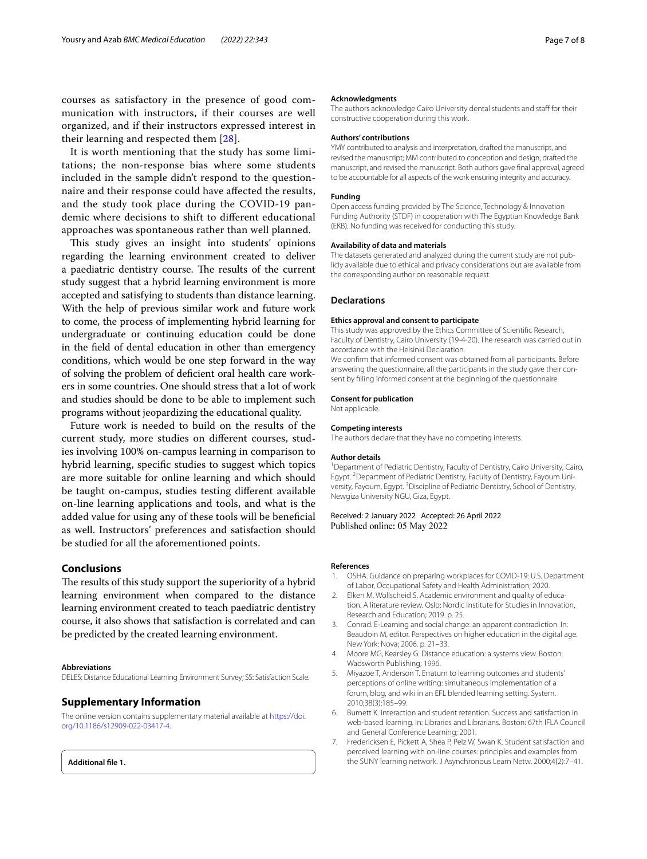courses as satisfactory in the presence of good communication with instructors, if their courses are well organized, and if their instructors expressed interest in their learning and respected them [\[28](#page-7-20)].

It is worth mentioning that the study has some limitations; the non-response bias where some students included in the sample didn't respond to the questionnaire and their response could have afected the results, and the study took place during the COVID-19 pandemic where decisions to shift to diferent educational approaches was spontaneous rather than well planned.

This study gives an insight into students' opinions regarding the learning environment created to deliver a paediatric dentistry course. The results of the current study suggest that a hybrid learning environment is more accepted and satisfying to students than distance learning. With the help of previous similar work and future work to come, the process of implementing hybrid learning for undergraduate or continuing education could be done in the feld of dental education in other than emergency conditions, which would be one step forward in the way of solving the problem of defcient oral health care workers in some countries. One should stress that a lot of work and studies should be done to be able to implement such programs without jeopardizing the educational quality.

Future work is needed to build on the results of the current study, more studies on diferent courses, studies involving 100% on-campus learning in comparison to hybrid learning, specifc studies to suggest which topics are more suitable for online learning and which should be taught on-campus, studies testing diferent available on-line learning applications and tools, and what is the added value for using any of these tools will be benefcial as well. Instructors' preferences and satisfaction should be studied for all the aforementioned points.

# **Conclusions**

The results of this study support the superiority of a hybrid learning environment when compared to the distance learning environment created to teach paediatric dentistry course, it also shows that satisfaction is correlated and can be predicted by the created learning environment.

### **Abbreviations**

DELES: Distance Educational Learning Environment Survey; SS: Satisfaction Scale.

# **Supplementary Information**

The online version contains supplementary material available at [https://doi.](https://doi.org/10.1186/s12909-022-03417-4) [org/10.1186/s12909-022-03417-4](https://doi.org/10.1186/s12909-022-03417-4).

**Additional fle 1.**

### **Acknowledgments**

The authors acknowledge Cairo University dental students and staff for their constructive cooperation during this work.

### **Authors' contributions**

YMY contributed to analysis and interpretation, drafted the manuscript, and revised the manuscript; MM contributed to conception and design, drafted the manuscript, and revised the manuscript. Both authors gave fnal approval, agreed to be accountable for all aspects of the work ensuring integrity and accuracy.

### **Funding**

Open access funding provided by The Science, Technology & Innovation Funding Authority (STDF) in cooperation with The Egyptian Knowledge Bank (EKB). No funding was received for conducting this study.

### **Availability of data and materials**

The datasets generated and analyzed during the current study are not publicly available due to ethical and privacy considerations but are available from the corresponding author on reasonable request.

### **Declarations**

### **Ethics approval and consent to participate**

This study was approved by the Ethics Committee of Scientifc Research, Faculty of Dentistry, Cairo University (19-4-20). The research was carried out in accordance with the Helsinki Declaration.

We confrm that informed consent was obtained from all participants. Before answering the questionnaire, all the participants in the study gave their consent by flling informed consent at the beginning of the questionnaire.

# **Consent for publication**

Not applicable.

# **Competing interests**

The authors declare that they have no competing interests.

### **Author details**

<sup>1</sup> Department of Pediatric Dentistry, Faculty of Dentistry, Cairo University, Cairo, Egypt.<sup>2</sup> Department of Pediatric Dentistry, Faculty of Dentistry, Fayoum University, Fayoum, Egypt.<sup>3</sup> Discipline of Pediatric Dentistry, School of Dentistry, Newgiza University NGU, Giza, Egypt.

# Received: 2 January 2022 Accepted: 26 April 2022 Published online: 05 May 2022

### **References**

- <span id="page-6-0"></span>1. OSHA. Guidance on preparing workplaces for COVID-19: U.S. Department of Labor, Occupational Safety and Health Administration; 2020.
- <span id="page-6-1"></span>2. Elken M, Wollscheid S. Academic environment and quality of education. A literature review. Oslo: Nordic Institute for Studies in Innovation, Research and Education; 2019. p. 25.
- <span id="page-6-2"></span>3. Conrad. E-Learning and social change: an apparent contradiction. In: Beaudoin M, editor. Perspectives on higher education in the digital age. New York: Nova; 2006. p. 21–33.
- <span id="page-6-3"></span>4. Moore MG, Kearsley G. Distance education: a systems view. Boston: Wadsworth Publishing; 1996.
- <span id="page-6-4"></span>5. Miyazoe T, Anderson T. Erratum to learning outcomes and students' perceptions of online writing: simultaneous implementation of a forum, blog, and wiki in an EFL blended learning setting. System. 2010;38(3):185–99.
- <span id="page-6-5"></span>6. Burnett K. Interaction and student retention. Success and satisfaction in web-based learning. In: Libraries and Librarians. Boston: 67th IFLA Council and General Conference Learning; 2001.
- <span id="page-6-6"></span>7. Fredericksen E, Pickett A, Shea P, Pelz W, Swan K. Student satisfaction and perceived learning with on-line courses: principles and examples from the SUNY learning network. J Asynchronous Learn Netw. 2000;4(2):7–41.